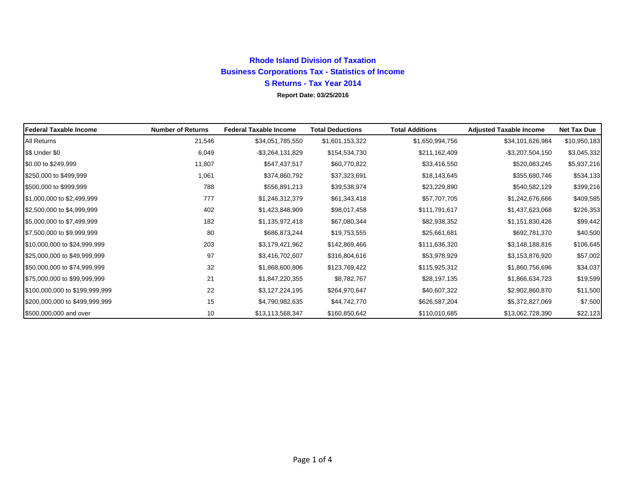## **Rhode Island Division of Taxation Business Corporations Tax - Statistics of Income S Returns - Tax Year 2014 Report Date: 03/25/2016**

| <b>Federal Taxable Income</b>  | <b>Number of Returns</b> | <b>Federal Taxable Income</b> | <b>Total Deductions</b> | <b>Total Additions</b> | <b>Adjusted Taxable Income</b> | <b>Net Tax Due</b> |
|--------------------------------|--------------------------|-------------------------------|-------------------------|------------------------|--------------------------------|--------------------|
| All Returns                    | 21,546                   | \$34,051,785,550              | \$1,601,153,322         | \$1,650,994,756        | \$34,101,626,984               | \$10,950,183       |
| \$\$ Under \$0                 | 6,049                    | $-$ \$3,264,131,829           | \$154,534,730           | \$211,162,409          | $-$ \$3,207,504,150            | \$3,045,332        |
| \$0.00 to \$249,999            | 11,807                   | \$547,437,517                 | \$60,770,822            | \$33,416,550           | \$520,083,245                  | \$5,937,216        |
| \$250,000 to \$499,999         | 1,061                    | \$374,860,792                 | \$37,323,691            | \$18,143,645           | \$355,680,746                  | \$534,133          |
| \$500,000 to \$999,999         | 788                      | \$556,891,213                 | \$39,538,974            | \$23,229,890           | \$540,582,129                  | \$399,216          |
| \$1,000,000 to \$2,499,999     | 777                      | \$1,246,312,379               | \$61,343,418            | \$57,707,705           | \$1,242,676,666                | \$409,585          |
| \$2,500,000 to \$4,999,999     | 402                      | \$1,423,848,909               | \$98,017,458            | \$111,791,617          | \$1,437,623,068                | \$226,353          |
| \$5,000,000 to \$7,499,999     | 182                      | \$1,135,972,418               | \$67,080,344            | \$82,938,352           | \$1,151,830,426                | \$99,442           |
| \$7,500,000 to \$9,999,999     | 80                       | \$686,873,244                 | \$19,753,555            | \$25,661,681           | \$692,781,370                  | \$40,500           |
| \$10,000,000 to \$24,999,999   | 203                      | \$3,179,421,962               | \$142,869,466           | \$111,636,320          | \$3,148,188,816                | \$106,645          |
| \$25,000,000 to \$49,999,999   | 97                       | \$3,416,702,607               | \$316,804,616           | \$53,978,929           | \$3,153,876,920                | \$57,002           |
| \$50,000,000 to \$74,999,999   | 32                       | \$1,868,600,806               | \$123,769,422           | \$115,925,312          | \$1,860,756,696                | \$34,037           |
| \$75,000,000 to \$99,999,999   | 21                       | \$1,847,220,355               | \$8,782,767             | \$28,197,135           | \$1,866,634,723                | \$19,599           |
| \$100,000,000 to \$199,999,999 | 22                       | \$3,127,224,195               | \$264,970,647           | \$40,607,322           | \$2,902,860,870                | \$11,500           |
| \$200,000,000 to \$499,999,999 | 15                       | \$4,790,982,635               | \$44,742,770            | \$626,587,204          | \$5,372,827,069                | \$7,500            |
| \$500,000,000 and over         | 10                       | \$13,113,568,347              | \$160,850,642           | \$110,010,685          | \$13,062,728,390               | \$22,123           |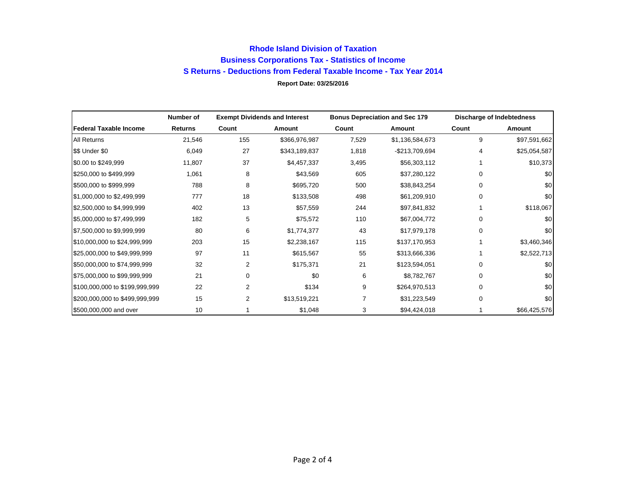## **Rhode Island Division of Taxation Business Corporations Tax - Statistics of Income S Returns - Deductions from Federal Taxable Income - Tax Year 2014 Report Date: 03/25/2016**

|                                | Number of      | <b>Exempt Dividends and Interest</b> |               | <b>Bonus Depreciation and Sec 179</b> |                 | Discharge of Indebtedness |              |
|--------------------------------|----------------|--------------------------------------|---------------|---------------------------------------|-----------------|---------------------------|--------------|
| <b>Federal Taxable Income</b>  | <b>Returns</b> | Count                                | Amount        | Count                                 | Amount          | Count                     | Amount       |
| All Returns                    | 21,546         | 155                                  | \$366,976,987 | 7,529                                 | \$1,136,584,673 | 9                         | \$97,591,662 |
| \$\$ Under \$0                 | 6,049          | 27                                   | \$343,189,837 | 1,818                                 | -\$213,709,694  | 4                         | \$25,054,587 |
| \$0.00 to \$249,999            | 11,807         | 37                                   | \$4,457,337   | 3,495                                 | \$56,303,112    |                           | \$10,373     |
| \$250,000 to \$499,999         | 1,061          | 8                                    | \$43,569      | 605                                   | \$37,280,122    | 0                         | \$0          |
| \$500,000 to \$999,999         | 788            | 8                                    | \$695,720     | 500                                   | \$38,843,254    | 0                         | \$0          |
| \$1,000,000 to \$2,499,999     | 777            | 18                                   | \$133,508     | 498                                   | \$61,209,910    | 0                         | \$0          |
| \$2,500,000 to \$4,999,999     | 402            | 13                                   | \$57,559      | 244                                   | \$97,841,832    |                           | \$118,067    |
| \$5,000,000 to \$7,499,999     | 182            | 5                                    | \$75,572      | 110                                   | \$67,004,772    | 0                         | \$0          |
| \$7,500,000 to \$9,999,999     | 80             | 6                                    | \$1,774,377   | 43                                    | \$17,979,178    | 0                         | \$0          |
| \$10,000,000 to \$24,999,999   | 203            | 15                                   | \$2,238,167   | 115                                   | \$137,170,953   |                           | \$3,460,346  |
| \$25,000,000 to \$49,999,999   | 97             | 11                                   | \$615,567     | 55                                    | \$313,666,336   |                           | \$2,522,713  |
| \$50,000,000 to \$74,999,999   | 32             | 2                                    | \$175,371     | 21                                    | \$123,594,051   | 0                         | \$0          |
| \$75,000,000 to \$99,999,999   | 21             | $\Omega$                             | \$0           | 6                                     | \$8,782,767     | 0                         | \$0          |
| \$100,000,000 to \$199,999,999 | 22             | $\overline{2}$                       | \$134         | 9                                     | \$264,970,513   | 0                         | \$0          |
| \$200,000,000 to \$499,999,999 | 15             | 2                                    | \$13,519,221  |                                       | \$31,223,549    | $\Omega$                  | \$0          |
| \$500,000,000 and over         | 10             |                                      | \$1,048       | 3                                     | \$94,424,018    |                           | \$66,425,576 |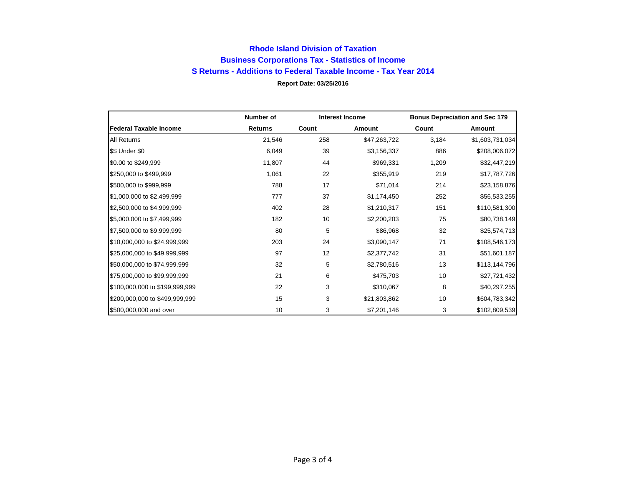## **Rhode Island Division of Taxation Business Corporations Tax - Statistics of Income S Returns - Additions to Federal Taxable Income - Tax Year 2014 Report Date: 03/25/2016**

|                                | Number of<br><b>Interest Income</b> |       |              | <b>Bonus Depreciation and Sec 179</b> |                 |  |
|--------------------------------|-------------------------------------|-------|--------------|---------------------------------------|-----------------|--|
| <b>Federal Taxable Income</b>  | <b>Returns</b>                      | Count | Amount       | Count                                 | Amount          |  |
| <b>All Returns</b>             | 21,546                              | 258   | \$47,263,722 | 3,184                                 | \$1,603,731,034 |  |
| \$\$ Under \$0                 | 6,049                               | 39    | \$3,156,337  | 886                                   | \$208,006,072   |  |
| \$0.00 to \$249,999            | 11,807                              | 44    | \$969,331    | 1,209                                 | \$32,447,219    |  |
| \$250,000 to \$499,999         | 1,061                               | 22    | \$355,919    | 219                                   | \$17,787,726    |  |
| \$500,000 to \$999,999         | 788                                 | 17    | \$71,014     | 214                                   | \$23,158,876    |  |
| \$1,000,000 to \$2,499,999     | 777                                 | 37    | \$1,174,450  | 252                                   | \$56,533,255    |  |
| \$2,500,000 to \$4,999,999     | 402                                 | 28    | \$1,210,317  | 151                                   | \$110,581,300   |  |
| \$5,000,000 to \$7,499,999     | 182                                 | 10    | \$2,200,203  | 75                                    | \$80,738,149    |  |
| \$7,500,000 to \$9,999,999     | 80                                  | 5     | \$86,968     | 32                                    | \$25,574,713    |  |
| \$10,000,000 to \$24,999,999   | 203                                 | 24    | \$3,090,147  | 71                                    | \$108,546,173   |  |
| \$25,000,000 to \$49,999,999   | 97                                  | 12    | \$2,377,742  | 31                                    | \$51,601,187    |  |
| \$50,000,000 to \$74,999,999   | 32                                  | 5     | \$2,780,516  | 13                                    | \$113,144,796   |  |
| \$75,000,000 to \$99,999,999   | 21                                  | 6     | \$475,703    | 10                                    | \$27,721,432    |  |
| \$100,000,000 to \$199,999,999 | 22                                  | 3     | \$310,067    | 8                                     | \$40,297,255    |  |
| \$200,000,000 to \$499,999,999 | 15                                  | 3     | \$21,803,862 | 10                                    | \$604,783,342   |  |
| \$500,000,000 and over         | 10                                  | 3     | \$7,201,146  | 3                                     | \$102,809,539   |  |